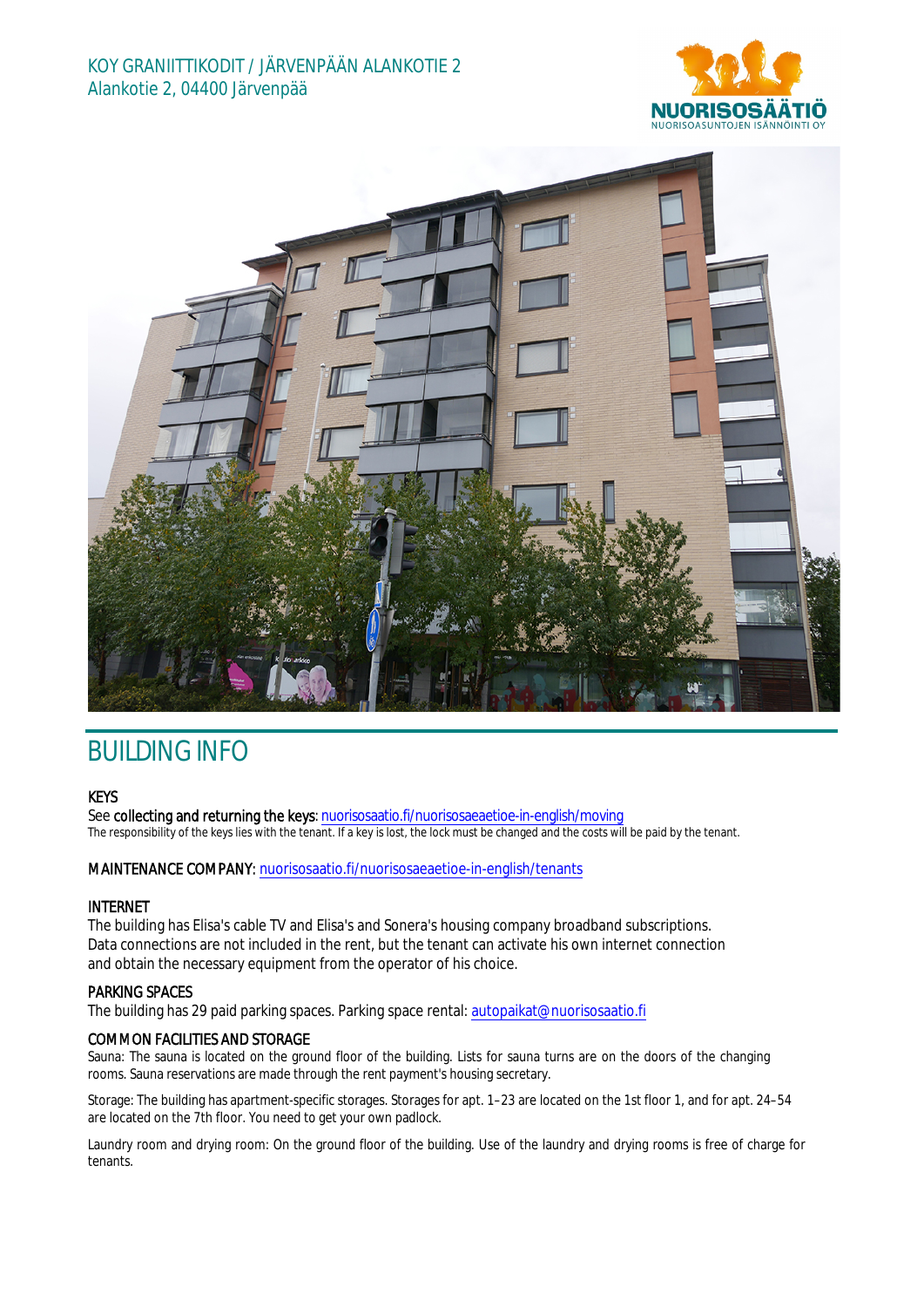



# BUILDING INFO

## **KEYS**

See collecting and returning the keys: nuorisosaatio.fi/nuorisosaeaetioe-in-english/moving The responsibility of the keys lies with the tenant. If a key is lost, the lock must be changed and the costs will be paid by the tenant.

## MAINTENANCE COMPANY: nuorisosaatio.fi/nuorisosaeaetioe-in-english/tenants

## INTERNET

The building has Elisa's cable TV and Elisa's and Sonera's housing company broadband subscriptions. Data connections are not included in the rent, but the tenant can activate his own internet connection and obtain the necessary equipment from the operator of his choice.

## PARKING SPACES

The building has 29 paid parking spaces. Parking space rental: autopaikat@nuorisosaatio.fi

## COMMON FACILITIES AND STORAGE

Sauna: The sauna is located on the ground floor of the building. Lists for sauna turns are on the doors of the changing rooms. Sauna reservations are made through the rent payment's housing secretary.

Storage: The building has apartment-specific storages. Storages for apt. 1–23 are located on the 1st floor 1, and for apt. 24–54 are located on the 7th floor. You need to get your own padlock.

Laundry room and drying room: On the ground floor of the building. Use of the laundry and drying rooms is free of charge for tenants.